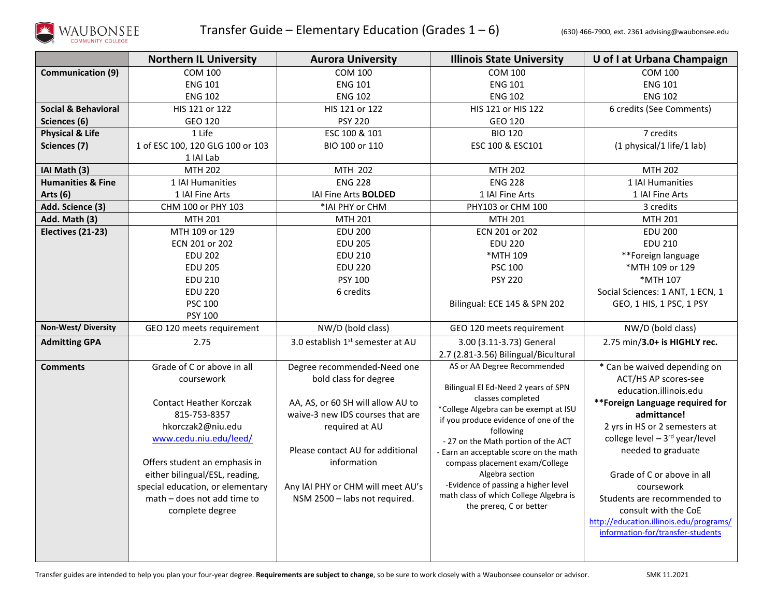

|                                | <b>Northern IL University</b>     | <b>Aurora University</b>                                              | <b>Illinois State University</b>                                         | U of I at Urbana Champaign                     |
|--------------------------------|-----------------------------------|-----------------------------------------------------------------------|--------------------------------------------------------------------------|------------------------------------------------|
| <b>Communication (9)</b>       | <b>COM 100</b>                    | <b>COM 100</b>                                                        | <b>COM 100</b>                                                           | <b>COM 100</b>                                 |
|                                | <b>ENG 101</b>                    | <b>ENG 101</b>                                                        | <b>ENG 101</b>                                                           | <b>ENG 101</b>                                 |
|                                | <b>ENG 102</b>                    | <b>ENG 102</b>                                                        | <b>ENG 102</b>                                                           | <b>ENG 102</b>                                 |
| <b>Social &amp; Behavioral</b> | HIS 121 or 122                    | HIS 121 or 122                                                        | HIS 121 or HIS 122                                                       | 6 credits (See Comments)                       |
| Sciences (6)                   | GEO 120                           | <b>PSY 220</b>                                                        | GEO 120                                                                  |                                                |
| <b>Physical &amp; Life</b>     | 1 Life                            | ESC 100 & 101                                                         | <b>BIO 120</b>                                                           | 7 credits                                      |
| Sciences (7)                   | 1 of ESC 100, 120 GLG 100 or 103  | BIO 100 or 110                                                        | ESC 100 & ESC101                                                         | (1 physical/1 life/1 lab)                      |
|                                | 1 IAI Lab                         |                                                                       |                                                                          |                                                |
| IAI Math (3)                   | <b>MTH 202</b>                    | MTH 202                                                               | <b>MTH 202</b>                                                           | <b>MTH 202</b>                                 |
| <b>Humanities &amp; Fine</b>   | 1 IAI Humanities                  | <b>ENG 228</b>                                                        | <b>ENG 228</b>                                                           | 1 IAI Humanities                               |
| Arts (6)                       | 1 IAI Fine Arts                   | IAI Fine Arts <b>BOLDED</b>                                           | 1 IAI Fine Arts                                                          | 1 IAI Fine Arts                                |
| Add. Science (3)               | CHM 100 or PHY 103                | *IAI PHY or CHM                                                       | PHY103 or CHM 100                                                        | 3 credits                                      |
| Add. Math (3)                  | MTH 201                           | <b>MTH 201</b>                                                        | MTH 201                                                                  | MTH 201                                        |
| Electives (21-23)              | MTH 109 or 129                    | <b>EDU 200</b>                                                        | ECN 201 or 202                                                           | <b>EDU 200</b>                                 |
|                                | ECN 201 or 202                    | <b>EDU 205</b>                                                        | <b>EDU 220</b>                                                           | <b>EDU 210</b>                                 |
|                                | <b>EDU 202</b>                    | <b>EDU 210</b>                                                        | *MTH 109                                                                 | **Foreign language                             |
|                                | <b>EDU 205</b>                    | <b>EDU 220</b>                                                        | <b>PSC 100</b>                                                           | *MTH 109 or 129                                |
|                                | <b>EDU 210</b>                    | <b>PSY 100</b>                                                        | <b>PSY 220</b>                                                           | *MTH 107                                       |
|                                | <b>EDU 220</b>                    | 6 credits                                                             |                                                                          | Social Sciences: 1 ANT, 1 ECN, 1               |
|                                | <b>PSC 100</b>                    |                                                                       | Bilingual: ECE 145 & SPN 202                                             | GEO, 1 HIS, 1 PSC, 1 PSY                       |
|                                | PSY 100                           |                                                                       |                                                                          |                                                |
| Non-West/Diversity             | GEO 120 meets requirement         | NW/D (bold class)                                                     | GEO 120 meets requirement                                                | NW/D (bold class)                              |
| <b>Admitting GPA</b>           | 2.75                              | 3.0 establish 1st semester at AU                                      | 3.00 (3.11-3.73) General                                                 | 2.75 min/3.0+ is HIGHLY rec.                   |
|                                |                                   |                                                                       | 2.7 (2.81-3.56) Bilingual/Bicultural                                     |                                                |
| <b>Comments</b>                | Grade of C or above in all        | Degree recommended-Need one                                           | AS or AA Degree Recommended                                              | * Can be waived depending on                   |
|                                | coursework                        | bold class for degree                                                 | Bilingual El Ed-Need 2 years of SPN                                      | ACT/HS AP scores-see                           |
|                                |                                   |                                                                       | classes completed                                                        | education.illinois.edu                         |
|                                | <b>Contact Heather Korczak</b>    | AA, AS, or 60 SH will allow AU to<br>waive-3 new IDS courses that are | *College Algebra can be exempt at ISU                                    | **Foreign Language required for<br>admittance! |
|                                | 815-753-8357<br>hkorczak2@niu.edu | required at AU                                                        | if you produce evidence of one of the                                    | 2 yrs in HS or 2 semesters at                  |
|                                | www.cedu.niu.edu/leed/            |                                                                       | following                                                                | college level $-3^{rd}$ year/level             |
|                                |                                   | Please contact AU for additional                                      | - 27 on the Math portion of the ACT                                      | needed to graduate                             |
|                                | Offers student an emphasis in     | information                                                           | - Earn an acceptable score on the math<br>compass placement exam/College |                                                |
|                                | either bilingual/ESL, reading,    |                                                                       | Algebra section                                                          | Grade of C or above in all                     |
|                                | special education, or elementary  | Any IAI PHY or CHM will meet AU's                                     | -Evidence of passing a higher level                                      | coursework                                     |
|                                | math - does not add time to       | NSM 2500 - labs not required.                                         | math class of which College Algebra is                                   | Students are recommended to                    |
|                                | complete degree                   |                                                                       | the prereq, C or better                                                  | consult with the CoE                           |
|                                |                                   |                                                                       |                                                                          | http://education.illinois.edu/programs/        |
|                                |                                   |                                                                       |                                                                          | information-for/transfer-students              |
|                                |                                   |                                                                       |                                                                          |                                                |
|                                |                                   |                                                                       |                                                                          |                                                |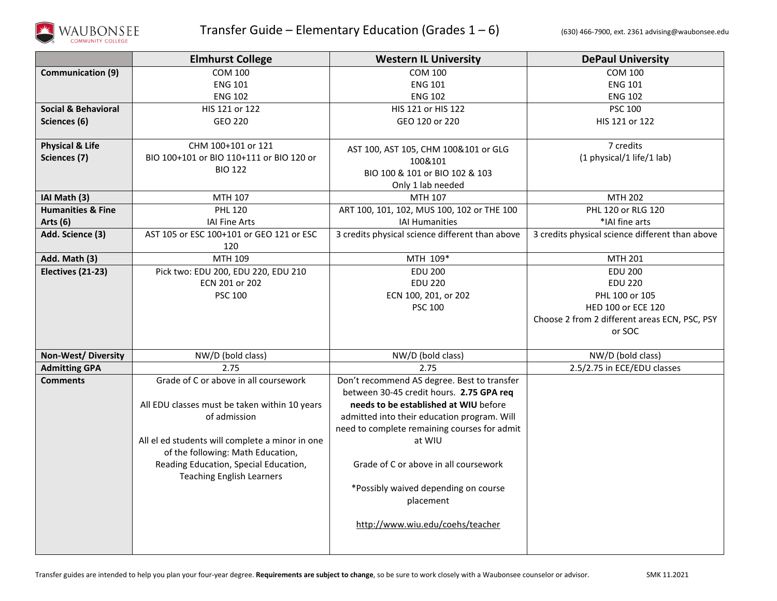

|                              | <b>Elmhurst College</b>                         | <b>Western IL University</b>                    | <b>DePaul University</b>                        |
|------------------------------|-------------------------------------------------|-------------------------------------------------|-------------------------------------------------|
| <b>Communication (9)</b>     | <b>COM 100</b>                                  | <b>COM 100</b>                                  | <b>COM 100</b>                                  |
|                              | <b>ENG 101</b>                                  | <b>ENG 101</b>                                  | <b>ENG 101</b>                                  |
|                              | <b>ENG 102</b>                                  | <b>ENG 102</b>                                  | <b>ENG 102</b>                                  |
| Social & Behavioral          | HIS 121 or 122                                  | HIS 121 or HIS 122                              | <b>PSC 100</b>                                  |
| Sciences (6)                 | GEO 220                                         | GEO 120 or 220                                  | HIS 121 or 122                                  |
|                              |                                                 |                                                 |                                                 |
| <b>Physical &amp; Life</b>   | CHM 100+101 or 121                              | AST 100, AST 105, CHM 100&101 or GLG            | 7 credits                                       |
| Sciences (7)                 | BIO 100+101 or BIO 110+111 or BIO 120 or        | 100&101                                         | (1 physical/1 life/1 lab)                       |
|                              | <b>BIO 122</b>                                  | BIO 100 & 101 or BIO 102 & 103                  |                                                 |
|                              |                                                 | Only 1 lab needed                               |                                                 |
| IAI Math (3)                 | MTH 107                                         | MTH 107                                         | <b>MTH 202</b>                                  |
| <b>Humanities &amp; Fine</b> | <b>PHL 120</b>                                  | ART 100, 101, 102, MUS 100, 102 or THE 100      | PHL 120 or RLG 120                              |
| Arts $(6)$                   | <b>IAI Fine Arts</b>                            | <b>IAI Humanities</b>                           | *IAI fine arts                                  |
| Add. Science (3)             | AST 105 or ESC 100+101 or GEO 121 or ESC        | 3 credits physical science different than above | 3 credits physical science different than above |
|                              | 120                                             |                                                 |                                                 |
| Add. Math (3)                | MTH 109                                         | MTH 109*                                        | MTH 201                                         |
| Electives (21-23)            | Pick two: EDU 200, EDU 220, EDU 210             | <b>EDU 200</b>                                  | <b>EDU 200</b>                                  |
|                              | ECN 201 or 202                                  | <b>EDU 220</b>                                  | <b>EDU 220</b>                                  |
|                              | <b>PSC 100</b>                                  | ECN 100, 201, or 202                            | PHL 100 or 105                                  |
|                              |                                                 | <b>PSC 100</b>                                  | HED 100 or ECE 120                              |
|                              |                                                 |                                                 | Choose 2 from 2 different areas ECN, PSC, PSY   |
|                              |                                                 |                                                 | or SOC                                          |
| <b>Non-West/Diversity</b>    | NW/D (bold class)                               | NW/D (bold class)                               | NW/D (bold class)                               |
| <b>Admitting GPA</b>         | 2.75                                            | 2.75                                            | 2.5/2.75 in ECE/EDU classes                     |
| <b>Comments</b>              | Grade of C or above in all coursework           | Don't recommend AS degree. Best to transfer     |                                                 |
|                              |                                                 | between 30-45 credit hours. 2.75 GPA req        |                                                 |
|                              | All EDU classes must be taken within 10 years   | needs to be established at WIU before           |                                                 |
|                              | of admission                                    | admitted into their education program. Will     |                                                 |
|                              |                                                 | need to complete remaining courses for admit    |                                                 |
|                              | All el ed students will complete a minor in one | at WIU                                          |                                                 |
|                              | of the following: Math Education,               |                                                 |                                                 |
|                              | Reading Education, Special Education,           | Grade of C or above in all coursework           |                                                 |
|                              | <b>Teaching English Learners</b>                |                                                 |                                                 |
|                              |                                                 | *Possibly waived depending on course            |                                                 |
|                              |                                                 | placement                                       |                                                 |
|                              |                                                 | http://www.wiu.edu/coehs/teacher                |                                                 |
|                              |                                                 |                                                 |                                                 |
|                              |                                                 |                                                 |                                                 |